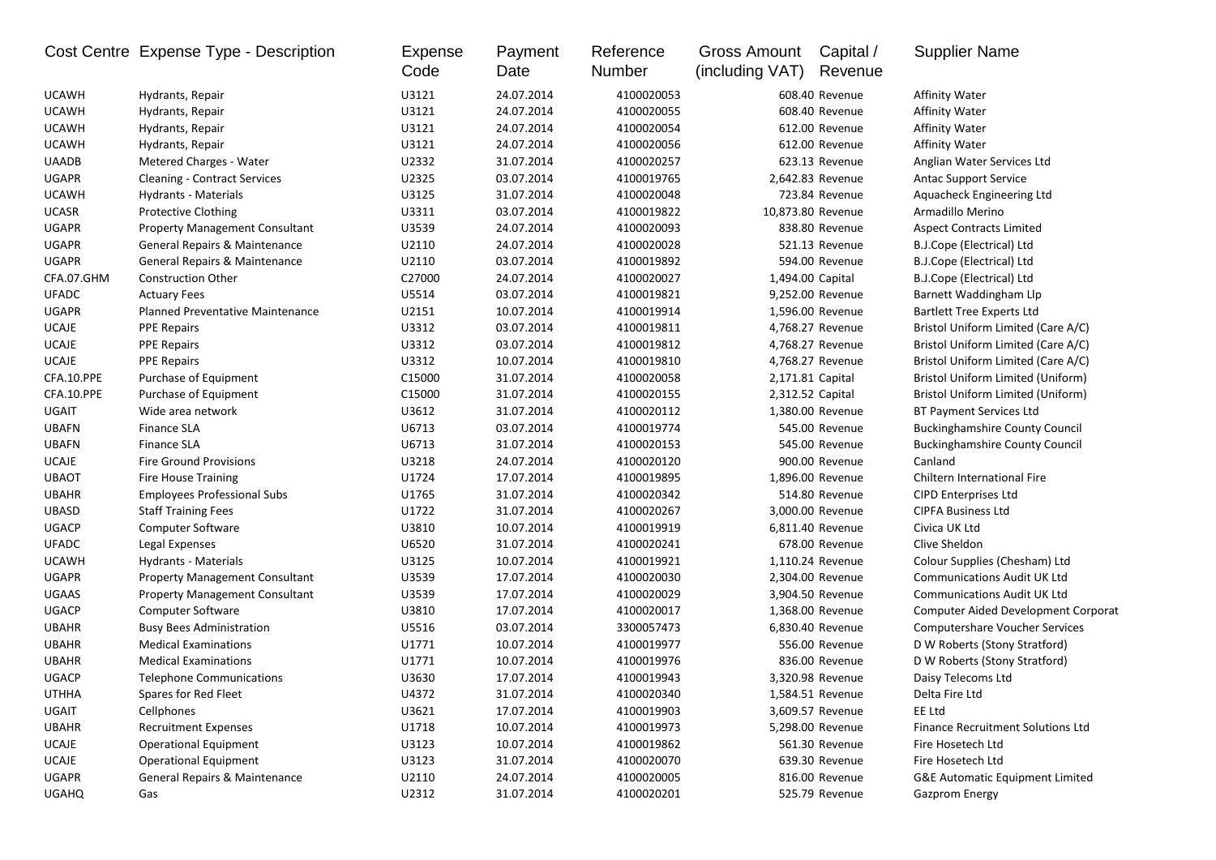|              | Cost Centre Expense Type - Description | Expense<br>Code | Payment<br>Date | Reference<br>Number | Gross Amount<br>(including VAT) | Capital /<br>Revenue | <b>Supplier Name</b>                       |
|--------------|----------------------------------------|-----------------|-----------------|---------------------|---------------------------------|----------------------|--------------------------------------------|
| <b>UCAWH</b> | Hydrants, Repair                       | U3121           | 24.07.2014      | 4100020053          |                                 | 608.40 Revenue       | Affinity Water                             |
| <b>UCAWH</b> | Hydrants, Repair                       | U3121           | 24.07.2014      | 4100020055          |                                 | 608.40 Revenue       | <b>Affinity Water</b>                      |
| <b>UCAWH</b> | Hydrants, Repair                       | U3121           | 24.07.2014      | 4100020054          |                                 | 612.00 Revenue       | <b>Affinity Water</b>                      |
| <b>UCAWH</b> | Hydrants, Repair                       | U3121           | 24.07.2014      | 4100020056          |                                 | 612.00 Revenue       | <b>Affinity Water</b>                      |
| <b>UAADB</b> | Metered Charges - Water                | U2332           | 31.07.2014      | 4100020257          |                                 | 623.13 Revenue       | Anglian Water Services Ltd                 |
| UGAPR        | <b>Cleaning - Contract Services</b>    | U2325           | 03.07.2014      | 4100019765          |                                 | 2,642.83 Revenue     | <b>Antac Support Service</b>               |
| <b>UCAWH</b> | <b>Hydrants - Materials</b>            | U3125           | 31.07.2014      | 4100020048          |                                 | 723.84 Revenue       | Aquacheck Engineering Ltd                  |
| <b>UCASR</b> | <b>Protective Clothing</b>             | U3311           | 03.07.2014      | 4100019822          |                                 | 10,873.80 Revenue    | Armadillo Merino                           |
| <b>UGAPR</b> | <b>Property Management Consultant</b>  | U3539           | 24.07.2014      | 4100020093          |                                 | 838.80 Revenue       | <b>Aspect Contracts Limited</b>            |
| <b>UGAPR</b> | General Repairs & Maintenance          | U2110           | 24.07.2014      | 4100020028          |                                 | 521.13 Revenue       | B.J.Cope (Electrical) Ltd                  |
| <b>UGAPR</b> | General Repairs & Maintenance          | U2110           | 03.07.2014      | 4100019892          |                                 | 594.00 Revenue       | B.J.Cope (Electrical) Ltd                  |
| CFA.07.GHM   | <b>Construction Other</b>              | C27000          | 24.07.2014      | 4100020027          | 1,494.00 Capital                |                      | B.J.Cope (Electrical) Ltd                  |
| <b>UFADC</b> | <b>Actuary Fees</b>                    | U5514           | 03.07.2014      | 4100019821          |                                 | 9,252.00 Revenue     | Barnett Waddingham Llp                     |
| <b>UGAPR</b> | Planned Preventative Maintenance       | U2151           | 10.07.2014      | 4100019914          |                                 | 1,596.00 Revenue     | <b>Bartlett Tree Experts Ltd</b>           |
| <b>UCAJE</b> | <b>PPE Repairs</b>                     | U3312           | 03.07.2014      | 4100019811          |                                 | 4,768.27 Revenue     | Bristol Uniform Limited (Care A/C)         |
| <b>UCAJE</b> | <b>PPE Repairs</b>                     | U3312           | 03.07.2014      | 4100019812          |                                 | 4,768.27 Revenue     | Bristol Uniform Limited (Care A/C)         |
| <b>UCAJE</b> | <b>PPE Repairs</b>                     | U3312           | 10.07.2014      | 4100019810          |                                 | 4,768.27 Revenue     | Bristol Uniform Limited (Care A/C)         |
| CFA.10.PPE   | Purchase of Equipment                  | C15000          | 31.07.2014      | 4100020058          |                                 | 2,171.81 Capital     | Bristol Uniform Limited (Uniform)          |
| CFA.10.PPE   | Purchase of Equipment                  | C15000          | 31.07.2014      | 4100020155          |                                 | 2,312.52 Capital     | <b>Bristol Uniform Limited (Uniform)</b>   |
| <b>UGAIT</b> | Wide area network                      | U3612           | 31.07.2014      | 4100020112          |                                 | 1,380.00 Revenue     | BT Payment Services Ltd                    |
| <b>UBAFN</b> | <b>Finance SLA</b>                     | U6713           | 03.07.2014      | 4100019774          |                                 | 545.00 Revenue       | <b>Buckinghamshire County Council</b>      |
| <b>UBAFN</b> | <b>Finance SLA</b>                     | U6713           | 31.07.2014      | 4100020153          |                                 | 545.00 Revenue       | <b>Buckinghamshire County Council</b>      |
| <b>UCAJE</b> | <b>Fire Ground Provisions</b>          | U3218           | 24.07.2014      | 4100020120          |                                 | 900.00 Revenue       | Canland                                    |
| <b>UBAOT</b> | <b>Fire House Training</b>             | U1724           | 17.07.2014      | 4100019895          |                                 | 1,896.00 Revenue     | Chiltern International Fire                |
| <b>UBAHR</b> | <b>Employees Professional Subs</b>     | U1765           | 31.07.2014      | 4100020342          |                                 | 514.80 Revenue       | <b>CIPD Enterprises Ltd</b>                |
| <b>UBASD</b> | <b>Staff Training Fees</b>             | U1722           | 31.07.2014      | 4100020267          |                                 | 3,000.00 Revenue     | <b>CIPFA Business Ltd</b>                  |
| <b>UGACP</b> | <b>Computer Software</b>               | U3810           | 10.07.2014      | 4100019919          |                                 | 6,811.40 Revenue     | Civica UK Ltd                              |
| <b>UFADC</b> | Legal Expenses                         | U6520           | 31.07.2014      | 4100020241          |                                 | 678.00 Revenue       | Clive Sheldon                              |
| <b>UCAWH</b> | Hydrants - Materials                   | U3125           | 10.07.2014      | 4100019921          |                                 | 1,110.24 Revenue     | Colour Supplies (Chesham) Ltd              |
| UGAPR        | <b>Property Management Consultant</b>  | U3539           | 17.07.2014      | 4100020030          |                                 | 2,304.00 Revenue     | <b>Communications Audit UK Ltd</b>         |
| <b>UGAAS</b> | <b>Property Management Consultant</b>  | U3539           | 17.07.2014      | 4100020029          |                                 | 3,904.50 Revenue     | <b>Communications Audit UK Ltd</b>         |
| <b>UGACP</b> | Computer Software                      | U3810           | 17.07.2014      | 4100020017          |                                 | 1,368.00 Revenue     | <b>Computer Aided Development Corporat</b> |
| <b>UBAHR</b> | <b>Busy Bees Administration</b>        | U5516           | 03.07.2014      | 3300057473          |                                 | 6,830.40 Revenue     | <b>Computershare Voucher Services</b>      |
| <b>UBAHR</b> | <b>Medical Examinations</b>            | U1771           | 10.07.2014      | 4100019977          |                                 | 556.00 Revenue       | D W Roberts (Stony Stratford)              |
| <b>UBAHR</b> | <b>Medical Examinations</b>            | U1771           | 10.07.2014      | 4100019976          |                                 | 836.00 Revenue       | D W Roberts (Stony Stratford)              |
| <b>UGACP</b> | <b>Telephone Communications</b>        | U3630           | 17.07.2014      | 4100019943          |                                 | 3,320.98 Revenue     | Daisy Telecoms Ltd                         |
| <b>UTHHA</b> | Spares for Red Fleet                   | U4372           | 31.07.2014      | 4100020340          |                                 | 1,584.51 Revenue     | Delta Fire Ltd                             |
| UGAIT        | Cellphones                             | U3621           | 17.07.2014      | 4100019903          |                                 | 3,609.57 Revenue     | EE Ltd                                     |
| <b>UBAHR</b> | <b>Recruitment Expenses</b>            | U1718           | 10.07.2014      | 4100019973          |                                 | 5,298.00 Revenue     | <b>Finance Recruitment Solutions Ltd</b>   |
| UCAJE        | <b>Operational Equipment</b>           | U3123           | 10.07.2014      | 4100019862          |                                 | 561.30 Revenue       | Fire Hosetech Ltd                          |
| <b>UCAJE</b> | <b>Operational Equipment</b>           | U3123           | 31.07.2014      | 4100020070          |                                 | 639.30 Revenue       | Fire Hosetech Ltd                          |
| <b>UGAPR</b> | General Repairs & Maintenance          | U2110           | 24.07.2014      | 4100020005          |                                 | 816.00 Revenue       | <b>G&amp;E Automatic Equipment Limited</b> |
| <b>UGAHQ</b> | Gas                                    | U2312           | 31.07.2014      | 4100020201          |                                 | 525.79 Revenue       | <b>Gazprom Energy</b>                      |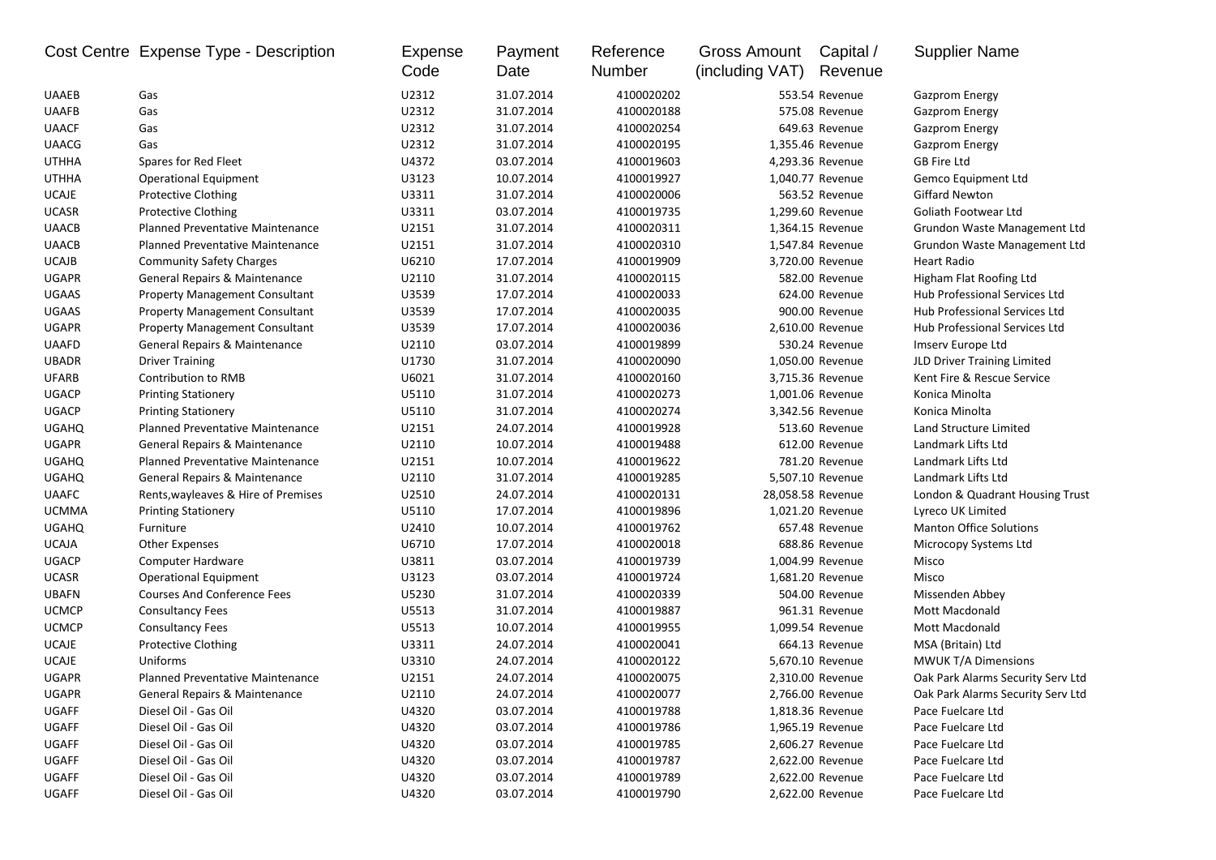|              | Cost Centre Expense Type - Description  | Expense<br>Code | Payment<br>Date | Reference<br>Number | Gross Amount<br>(including VAT) | Capital /<br>Revenue | <b>Supplier Name</b>              |
|--------------|-----------------------------------------|-----------------|-----------------|---------------------|---------------------------------|----------------------|-----------------------------------|
| <b>UAAEB</b> | Gas                                     | U2312           | 31.07.2014      | 4100020202          |                                 | 553.54 Revenue       | <b>Gazprom Energy</b>             |
| <b>UAAFB</b> | Gas                                     | U2312           | 31.07.2014      | 4100020188          |                                 | 575.08 Revenue       | <b>Gazprom Energy</b>             |
| <b>UAACF</b> | Gas                                     | U2312           | 31.07.2014      | 4100020254          |                                 | 649.63 Revenue       | <b>Gazprom Energy</b>             |
| <b>UAACG</b> | Gas                                     | U2312           | 31.07.2014      | 4100020195          |                                 | 1,355.46 Revenue     | <b>Gazprom Energy</b>             |
| <b>UTHHA</b> | Spares for Red Fleet                    | U4372           | 03.07.2014      | 4100019603          |                                 | 4,293.36 Revenue     | <b>GB Fire Ltd</b>                |
| <b>UTHHA</b> | <b>Operational Equipment</b>            | U3123           | 10.07.2014      | 4100019927          |                                 | 1,040.77 Revenue     | Gemco Equipment Ltd               |
| <b>UCAJE</b> | <b>Protective Clothing</b>              | U3311           | 31.07.2014      | 4100020006          |                                 | 563.52 Revenue       | <b>Giffard Newton</b>             |
| <b>UCASR</b> | <b>Protective Clothing</b>              | U3311           | 03.07.2014      | 4100019735          |                                 | 1,299.60 Revenue     | Goliath Footwear Ltd              |
| <b>UAACB</b> | <b>Planned Preventative Maintenance</b> | U2151           | 31.07.2014      | 4100020311          |                                 | 1,364.15 Revenue     | Grundon Waste Management Ltd      |
| <b>UAACB</b> | <b>Planned Preventative Maintenance</b> | U2151           | 31.07.2014      | 4100020310          |                                 | 1,547.84 Revenue     | Grundon Waste Management Ltd      |
| <b>UCAJB</b> | <b>Community Safety Charges</b>         | U6210           | 17.07.2014      | 4100019909          |                                 | 3,720.00 Revenue     | Heart Radio                       |
| <b>UGAPR</b> | General Repairs & Maintenance           | U2110           | 31.07.2014      | 4100020115          |                                 | 582.00 Revenue       | Higham Flat Roofing Ltd           |
| <b>UGAAS</b> | <b>Property Management Consultant</b>   | U3539           | 17.07.2014      | 4100020033          |                                 | 624.00 Revenue       | Hub Professional Services Ltd     |
| <b>UGAAS</b> | <b>Property Management Consultant</b>   | U3539           | 17.07.2014      | 4100020035          |                                 | 900.00 Revenue       | Hub Professional Services Ltd     |
| <b>UGAPR</b> | <b>Property Management Consultant</b>   | U3539           | 17.07.2014      | 4100020036          |                                 | 2,610.00 Revenue     | Hub Professional Services Ltd     |
| <b>UAAFD</b> | General Repairs & Maintenance           | U2110           | 03.07.2014      | 4100019899          |                                 | 530.24 Revenue       | Imserv Europe Ltd                 |
| <b>UBADR</b> | <b>Driver Training</b>                  | U1730           | 31.07.2014      | 4100020090          |                                 | 1,050.00 Revenue     | JLD Driver Training Limited       |
| <b>UFARB</b> | Contribution to RMB                     | U6021           | 31.07.2014      | 4100020160          |                                 | 3,715.36 Revenue     | Kent Fire & Rescue Service        |
| <b>UGACP</b> | <b>Printing Stationery</b>              | U5110           | 31.07.2014      | 4100020273          |                                 | 1,001.06 Revenue     | Konica Minolta                    |
| <b>UGACP</b> | <b>Printing Stationery</b>              | U5110           | 31.07.2014      | 4100020274          |                                 | 3,342.56 Revenue     | Konica Minolta                    |
| <b>UGAHQ</b> | Planned Preventative Maintenance        | U2151           | 24.07.2014      | 4100019928          |                                 | 513.60 Revenue       | Land Structure Limited            |
| <b>UGAPR</b> | General Repairs & Maintenance           | U2110           | 10.07.2014      | 4100019488          |                                 | 612.00 Revenue       | Landmark Lifts Ltd                |
| <b>UGAHQ</b> | Planned Preventative Maintenance        | U2151           | 10.07.2014      | 4100019622          |                                 | 781.20 Revenue       | Landmark Lifts Ltd                |
| <b>UGAHQ</b> | General Repairs & Maintenance           | U2110           | 31.07.2014      | 4100019285          |                                 | 5,507.10 Revenue     | Landmark Lifts Ltd                |
| <b>UAAFC</b> | Rents, wayleaves & Hire of Premises     | U2510           | 24.07.2014      | 4100020131          |                                 | 28,058.58 Revenue    | London & Quadrant Housing Trust   |
| <b>UCMMA</b> | <b>Printing Stationery</b>              | U5110           | 17.07.2014      | 4100019896          |                                 | 1,021.20 Revenue     | Lyreco UK Limited                 |
| <b>UGAHQ</b> | Furniture                               | U2410           | 10.07.2014      | 4100019762          |                                 | 657.48 Revenue       | <b>Manton Office Solutions</b>    |
| <b>UCAJA</b> | <b>Other Expenses</b>                   | U6710           | 17.07.2014      | 4100020018          |                                 | 688.86 Revenue       | Microcopy Systems Ltd             |
| <b>UGACP</b> | Computer Hardware                       | U3811           | 03.07.2014      | 4100019739          |                                 | 1,004.99 Revenue     | Misco                             |
| <b>UCASR</b> | <b>Operational Equipment</b>            | U3123           | 03.07.2014      | 4100019724          |                                 | 1,681.20 Revenue     | Misco                             |
| <b>UBAFN</b> | <b>Courses And Conference Fees</b>      | U5230           | 31.07.2014      | 4100020339          |                                 | 504.00 Revenue       | Missenden Abbey                   |
| <b>UCMCP</b> | <b>Consultancy Fees</b>                 | U5513           | 31.07.2014      | 4100019887          |                                 | 961.31 Revenue       | Mott Macdonald                    |
| <b>UCMCP</b> | <b>Consultancy Fees</b>                 | U5513           | 10.07.2014      | 4100019955          |                                 | 1,099.54 Revenue     | Mott Macdonald                    |
| <b>UCAJE</b> | <b>Protective Clothing</b>              | U3311           | 24.07.2014      | 4100020041          |                                 | 664.13 Revenue       | MSA (Britain) Ltd                 |
| <b>UCAJE</b> | Uniforms                                | U3310           | 24.07.2014      | 4100020122          |                                 | 5,670.10 Revenue     | <b>MWUK T/A Dimensions</b>        |
| <b>UGAPR</b> | <b>Planned Preventative Maintenance</b> | U2151           | 24.07.2014      | 4100020075          |                                 | 2,310.00 Revenue     | Oak Park Alarms Security Serv Ltd |
| UGAPR        | General Repairs & Maintenance           | U2110           | 24.07.2014      | 4100020077          |                                 | 2,766.00 Revenue     | Oak Park Alarms Security Serv Ltd |
| UGAFF        | Diesel Oil - Gas Oil                    | U4320           | 03.07.2014      | 4100019788          |                                 | 1,818.36 Revenue     | Pace Fuelcare Ltd                 |
| UGAFF        | Diesel Oil - Gas Oil                    | U4320           | 03.07.2014      | 4100019786          |                                 | 1,965.19 Revenue     | Pace Fuelcare Ltd                 |
| UGAFF        | Diesel Oil - Gas Oil                    | U4320           | 03.07.2014      | 4100019785          |                                 | 2,606.27 Revenue     | Pace Fuelcare Ltd                 |
| UGAFF        | Diesel Oil - Gas Oil                    | U4320           | 03.07.2014      | 4100019787          |                                 | 2,622.00 Revenue     | Pace Fuelcare Ltd                 |
| UGAFF        | Diesel Oil - Gas Oil                    | U4320           | 03.07.2014      | 4100019789          |                                 | 2,622.00 Revenue     | Pace Fuelcare Ltd                 |
| UGAFF        | Diesel Oil - Gas Oil                    | U4320           | 03.07.2014      | 4100019790          |                                 | 2,622.00 Revenue     | Pace Fuelcare Ltd                 |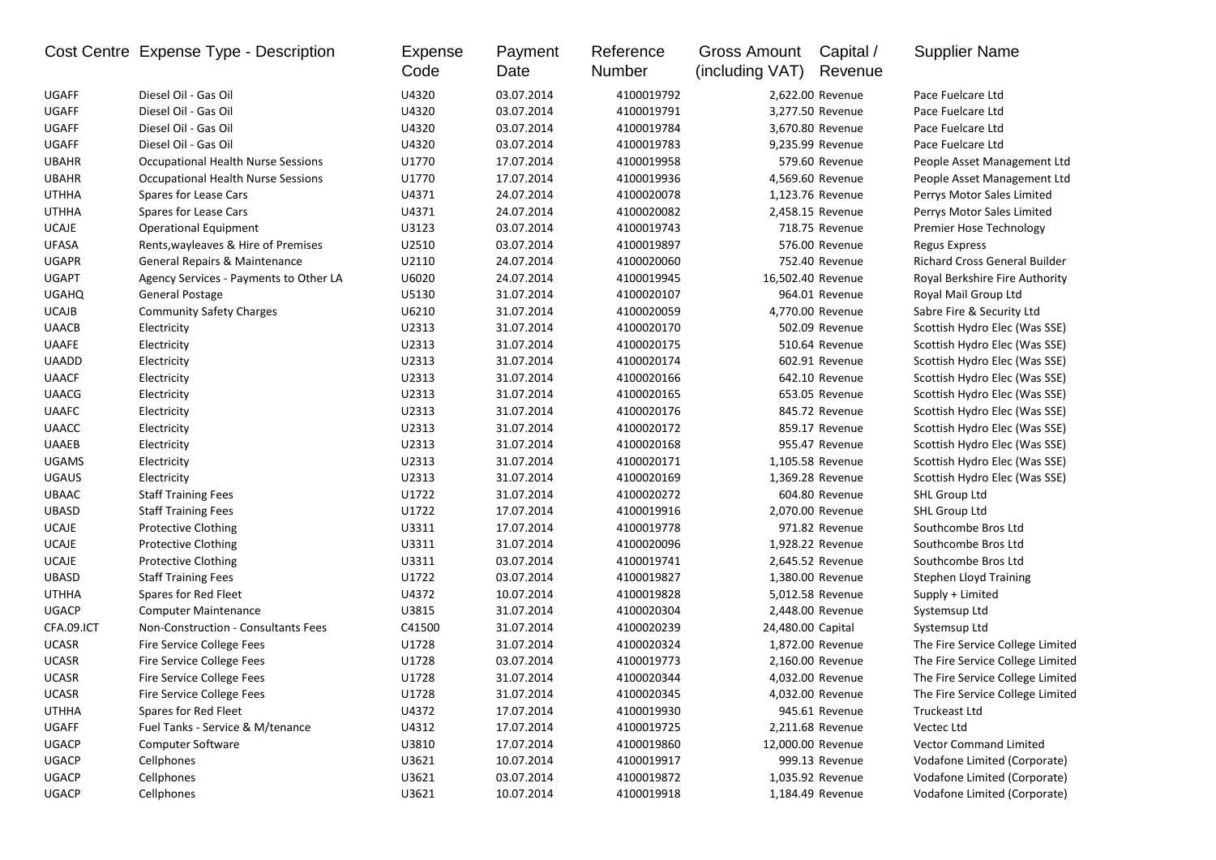|              | Cost Centre Expense Type - Description | Expense<br>Code | Payment<br>Date | Reference<br>Number | Gross Amount<br>(including VAT) | Capital /<br>Revenue | <b>Supplier Name</b>                 |
|--------------|----------------------------------------|-----------------|-----------------|---------------------|---------------------------------|----------------------|--------------------------------------|
| UGAFF        | Diesel Oil - Gas Oil                   | U4320           | 03.07.2014      | 4100019792          |                                 | 2,622.00 Revenue     | Pace Fuelcare Ltd                    |
| <b>UGAFF</b> | Diesel Oil - Gas Oil                   | U4320           | 03.07.2014      | 4100019791          |                                 | 3,277.50 Revenue     | Pace Fuelcare Ltd                    |
| <b>UGAFF</b> | Diesel Oil - Gas Oil                   | U4320           | 03.07.2014      | 4100019784          |                                 | 3,670.80 Revenue     | Pace Fuelcare Ltd                    |
| UGAFF        | Diesel Oil - Gas Oil                   | U4320           | 03.07.2014      | 4100019783          |                                 | 9,235.99 Revenue     | Pace Fuelcare Ltd                    |
| <b>UBAHR</b> | Occupational Health Nurse Sessions     | U1770           | 17.07.2014      | 4100019958          |                                 | 579.60 Revenue       | People Asset Management Ltd          |
| <b>UBAHR</b> | Occupational Health Nurse Sessions     | U1770           | 17.07.2014      | 4100019936          |                                 | 4,569.60 Revenue     | People Asset Management Ltd          |
| <b>UTHHA</b> | Spares for Lease Cars                  | U4371           | 24.07.2014      | 4100020078          |                                 | 1,123.76 Revenue     | Perrys Motor Sales Limited           |
| <b>UTHHA</b> | Spares for Lease Cars                  | U4371           | 24.07.2014      | 4100020082          |                                 | 2,458.15 Revenue     | Perrys Motor Sales Limited           |
| <b>UCAJE</b> | <b>Operational Equipment</b>           | U3123           | 03.07.2014      | 4100019743          |                                 | 718.75 Revenue       | Premier Hose Technology              |
| <b>UFASA</b> | Rents, wayleaves & Hire of Premises    | U2510           | 03.07.2014      | 4100019897          |                                 | 576.00 Revenue       | <b>Regus Express</b>                 |
| <b>UGAPR</b> | General Repairs & Maintenance          | U2110           | 24.07.2014      | 4100020060          |                                 | 752.40 Revenue       | <b>Richard Cross General Builder</b> |
| <b>UGAPT</b> | Agency Services - Payments to Other LA | U6020           | 24.07.2014      | 4100019945          | 16,502.40 Revenue               |                      | Royal Berkshire Fire Authority       |
| <b>UGAHQ</b> | General Postage                        | U5130           | 31.07.2014      | 4100020107          |                                 | 964.01 Revenue       | Royal Mail Group Ltd                 |
| <b>UCAJB</b> | <b>Community Safety Charges</b>        | U6210           | 31.07.2014      | 4100020059          |                                 | 4,770.00 Revenue     | Sabre Fire & Security Ltd            |
| <b>UAACB</b> | Electricity                            | U2313           | 31.07.2014      | 4100020170          |                                 | 502.09 Revenue       | Scottish Hydro Elec (Was SSE)        |
| <b>UAAFE</b> | Electricity                            | U2313           | 31.07.2014      | 4100020175          |                                 | 510.64 Revenue       | Scottish Hydro Elec (Was SSE)        |
| <b>UAADD</b> | Electricity                            | U2313           | 31.07.2014      | 4100020174          |                                 | 602.91 Revenue       | Scottish Hydro Elec (Was SSE)        |
| <b>UAACF</b> | Electricity                            | U2313           | 31.07.2014      | 4100020166          |                                 | 642.10 Revenue       | Scottish Hydro Elec (Was SSE)        |
| <b>UAACG</b> | Electricity                            | U2313           | 31.07.2014      | 4100020165          |                                 | 653.05 Revenue       | Scottish Hydro Elec (Was SSE)        |
| <b>UAAFC</b> | Electricity                            | U2313           | 31.07.2014      | 4100020176          |                                 | 845.72 Revenue       | Scottish Hydro Elec (Was SSE)        |
| <b>UAACC</b> | Electricity                            | U2313           | 31.07.2014      | 4100020172          |                                 | 859.17 Revenue       | Scottish Hydro Elec (Was SSE)        |
| <b>UAAEB</b> | Electricity                            | U2313           | 31.07.2014      | 4100020168          |                                 | 955.47 Revenue       | Scottish Hydro Elec (Was SSE)        |
| <b>UGAMS</b> | Electricity                            | U2313           | 31.07.2014      | 4100020171          |                                 | 1,105.58 Revenue     | Scottish Hydro Elec (Was SSE)        |
| <b>UGAUS</b> | Electricity                            | U2313           | 31.07.2014      | 4100020169          |                                 | 1,369.28 Revenue     | Scottish Hydro Elec (Was SSE)        |
| <b>UBAAC</b> | <b>Staff Training Fees</b>             | U1722           | 31.07.2014      | 4100020272          |                                 | 604.80 Revenue       | SHL Group Ltd                        |
| <b>UBASD</b> | <b>Staff Training Fees</b>             | U1722           | 17.07.2014      | 4100019916          |                                 | 2,070.00 Revenue     | SHL Group Ltd                        |
| <b>UCAJE</b> | <b>Protective Clothing</b>             | U3311           | 17.07.2014      | 4100019778          |                                 | 971.82 Revenue       | Southcombe Bros Ltd                  |
| <b>UCAJE</b> | <b>Protective Clothing</b>             | U3311           | 31.07.2014      | 4100020096          |                                 | 1,928.22 Revenue     | Southcombe Bros Ltd                  |
| <b>UCAJE</b> | <b>Protective Clothing</b>             | U3311           | 03.07.2014      | 4100019741          |                                 | 2,645.52 Revenue     | Southcombe Bros Ltd                  |
| <b>UBASD</b> | <b>Staff Training Fees</b>             | U1722           | 03.07.2014      | 4100019827          |                                 | 1,380.00 Revenue     | <b>Stephen Lloyd Training</b>        |
| <b>UTHHA</b> | Spares for Red Fleet                   | U4372           | 10.07.2014      | 4100019828          |                                 | 5,012.58 Revenue     | Supply + Limited                     |
| <b>UGACP</b> | <b>Computer Maintenance</b>            | U3815           | 31.07.2014      | 4100020304          |                                 | 2,448.00 Revenue     | Systemsup Ltd                        |
| CFA.09.ICT   | Non-Construction - Consultants Fees    | C41500          | 31.07.2014      | 4100020239          | 24,480.00 Capital               |                      | Systemsup Ltd                        |
| <b>UCASR</b> | Fire Service College Fees              | U1728           | 31.07.2014      | 4100020324          |                                 | 1,872.00 Revenue     | The Fire Service College Limited     |
| <b>UCASR</b> | Fire Service College Fees              | U1728           | 03.07.2014      | 4100019773          |                                 | 2,160.00 Revenue     | The Fire Service College Limited     |
| <b>UCASR</b> | Fire Service College Fees              | U1728           | 31.07.2014      | 4100020344          |                                 | 4,032.00 Revenue     | The Fire Service College Limited     |
| UCASR        | Fire Service College Fees              | U1728           | 31.07.2014      | 4100020345          |                                 | 4,032.00 Revenue     | The Fire Service College Limited     |
| <b>UTHHA</b> | Spares for Red Fleet                   | U4372           | 17.07.2014      | 4100019930          |                                 | 945.61 Revenue       | Truckeast Ltd                        |
| UGAFF        | Fuel Tanks - Service & M/tenance       | U4312           | 17.07.2014      | 4100019725          |                                 | 2,211.68 Revenue     | Vectec Ltd                           |
| <b>UGACP</b> | <b>Computer Software</b>               | U3810           | 17.07.2014      | 4100019860          | 12,000.00 Revenue               |                      | <b>Vector Command Limited</b>        |
| <b>UGACP</b> | Cellphones                             | U3621           | 10.07.2014      | 4100019917          |                                 | 999.13 Revenue       | Vodafone Limited (Corporate)         |
| <b>UGACP</b> | Cellphones                             | U3621           | 03.07.2014      | 4100019872          |                                 | 1,035.92 Revenue     | Vodafone Limited (Corporate)         |
| <b>UGACP</b> | Cellphones                             | U3621           | 10.07.2014      | 4100019918          |                                 | 1,184.49 Revenue     | Vodafone Limited (Corporate)         |